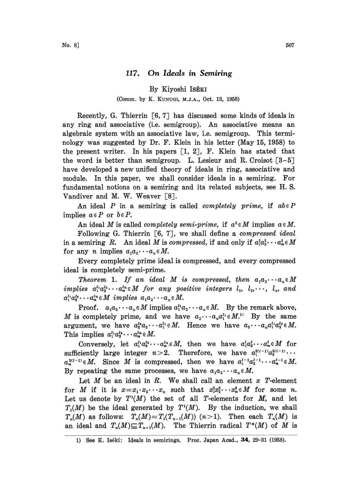## 117. On Ideals in Semiring

By Kiyoshi ISÉKI

## (Comm. by K. KUNUGI, M.J.&., Oct. 13, 1958)

Recently, G. Thierrin  $[6, 7]$  has discussed some kinds of ideals in any ring and associative (i.e. semigroup). An associative means an algebraic system with an associative law, i.e. semigroup. This terminology was suggested by Dr. F. Klein in his letter (May 15, 1958) to the present writer. In his papers [1, 2], F. Klein has stated that the word is better than semigroup. L. Lesieur and R. Croisot  $[3-5]$ have developed a new unified theory of ideals in ring, associative and module. In this paper, we shall consider ideals in a semiring. For fundamental notions on a semiring and its related subjects, see H. S. Vandiver and M. W. Weaver [8].

An ideal P in a semiring is called *completely prime*, if  $ab \in P$ implies  $a \in P$  or  $b \in P$ .

An ideal M is called *completely semi-prime*, if  $a^2 \in M$  implies  $a \in M$ . Following G. Thierrin  $\lceil 6, 7 \rceil$ , we shall define a compressed ideal in a semiring R. An ideal M is compressed, if and only if  $a_1^2a_2^2\cdots a_n^2 \in M$ for any *n* implies  $a_1 a_2 \cdots a_n \in M$ .

Every completely prime ideal is compressed, and every compressed ideal is completely semi-prime.

Theorem 1. If an ideal M is compressed, then  $a_1a_2\cdots a_n\in M$ implies  $a_1^{l_1}a_2^{l_2}\cdots a_n^{l_n} \in M$  for any positive integers  $l_1, l_2, \cdots, l_n$ , and  $a_1^{l_1}a_2^{l_2}\cdots a_n^{l_n} \in M$  implies  $a_1a_2\cdots a_n \in M$ .

Proof.  $a_1a_2 \cdots a_n \in M$  implies  $a_1^{\prime \prime}a_2 \cdots a_n \in M$ . By the remark above, M is completely prime, and we have  $a_2 \cdots a_n a_1^{i_1} \in M$ . By the same argument, we have  $a_2^{l_2}a_3\cdots a_1^{l_1} \in M$ . Hence we have  $a_3\cdots a_n a_1^{l_1}a_2^{l_2} \in M$ . This implies  $a_1^{l_1}a_2^{l_2}\cdots a_n^{l_n} \in M$ .

Conversely, let  $a_1^{i_1}a_2^{i_2}\cdots a_n^{i_n}\in M$ , then we have  $a_1^{i_1}a_2^{i_2}\cdots a_n^{i_n}\in M$  for sufficiently large integer  $n>2$ . Therefore, we have  $a_1^{2(l-1)}a_2^{2(l-1)}\cdots$  $a_n^{2(l-1)} \in M$ . Since M is compressed, then we have  $a_1^{l-1}a_2^{l-1} \cdots a_n^{l-1} \in M$ . By repeating the same processes, we have  $a_1a_2\cdots a_n\in M$ .

Let  $M$  be an ideal in  $R$ . We shall call an element  $x$   $T$ -element for M if it is  $x=x_1\cdot x_2\cdots x_n$  such that  $x_1^2x_2^2\cdots x_n^2\in M$  for some n. Let us denote by  $T^1(M)$  the set of all T-elements for M, and let  $T<sub>1</sub>(M)$  be the ideal generated by  $T<sup>1</sup>(M)$ . By the induction, we shall  $T_n(M)$  as follows:  $T_n(M)=T_1(T_{n-1}(M))$   $(n>1)$ . Then each  $T_n(M)$  is an ideal and  $T_n(M) \subseteq T_{n+1}(M)$ . The Thierrin radical  $T^*(M)$  of M is

<sup>1)</sup> See K. Iséki: Ideals in semirings, Proc. Japan Acad., 34, 29-31 (1958).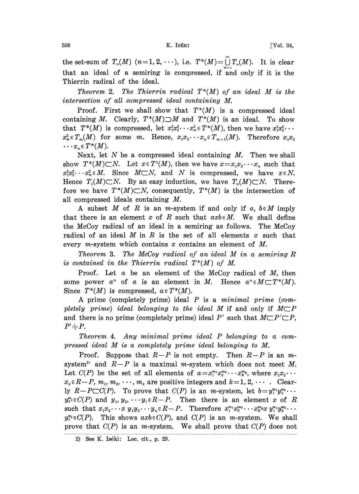the set-sum of  $T_n(M)$   $(n=1, 2, \cdots)$ , i.e.  $T^*(M) = \bigcup_{n=1}^{\infty} T_n(M)$ . It is clear that an ideal of a semiring is compressed, if and only if it is the Thierrin radical of the ideal.

Theorem 2. The Thierrin radical  $T^*(M)$  of an ideal M is the intersection of all compressed ideal containing M.

Proof. First we shall show that  $T^*(M)$  is a compressed ideal containing M. Clearly,  $T^*(M) \supset M$  and  $T^*(M)$  is an ideal. To show that  $T^*(M)$  is compressed, let  $x_1^2x_2^3 \cdots x_n^2 \in T^*(M)$ , then we have  $x_1^2x_3^2 \cdots$  $x_n^2 \in T_m(M)$  for some m. Hence,  $x_1x_2 \cdots x_n \in T_{m+1}(M)$ . Therefore  $x_1x_2$  $\cdots x_n \in T^*(M).$ 

Next, let  $N$  be a compressed ideal containing  $M$ . Then we shall show  $T^*(M)\subset N$ . Let  $x \in T^1(M)$ , then we have  $x=x_1x_2\cdots x_n$  such that  $x_1^2x_2^2\cdots x_n^2\in M$ . Since  $M\subset N$ , and N is compressed, we have  $x \in N$ . Hence  $T_1(M)\subset N$ . By an easy induction, we have  $T_n(M)\subset N$ . Therefore we have  $T^*(M)\subset N$ , consequently,  $T^*(M)$  is the intersection of all compressed ideals containing M.

A subset M of R is an m-system if and only if a,  $b \in M$  imply that there is an element x of R such that  $axb \in M$ . We shall define the McCoy radical of am. ideal in a semiring as follows. The McCoy radical of an ideal  $M$  in  $R$  is the set of all elements  $x$  such that every m-system which contains x contains an element of M.

Theorem 3. The McCoy radical of an ideal M in <sup>a</sup> semiring R is contained in the Thierrin radical  $T^*(M)$  of M.

Proof. Let  $\alpha$  be an element of the McCoy radical of  $M$ , then some power  $a^n$  of a is an element in M. Hence  $a^n \in M \subset T^*(M)$ . Since  $T^*(M)$  is compressed,  $a \in T^*(M)$ .

A prime (completely prime) ideal  $P$  is a minimal prime (completely prime) ideal belonging to the ideal M if and only if  $M\subset P$ and there is no prime (completely prime) ideal P' such that  $M\subset P'\subset P$ ,  $P' \neq P$ .

Theorem 4. Any minimal prime ideal P belonging to a compressed ideal M is <sup>a</sup> completely prime ideal belonging to M.

Proof. Suppose that  $R-P$  is not empty. Then  $R-P$  is an msystem<sup>2</sup> and  $R-P$  is a maximal m-system which does not meet M. Let  $C(P)$  be the set of all elements of  $a = x_1^{m_1} x_2^{m_2} \cdots x_k^{m_k}$ , where  $x_1 x_2$  $x_k \in R-P$ ,  $m_1, m_2, \dots, m_k$  are positive integers and  $k=1, 2, \dots$ . Clearly  $R-P\subset C(P)$ . To prove that  $C(P)$  is an *m*-system, let  $b=y_1^{n_1}y_2^{n_2}\cdots$  $y_t^n \in C(P)$  and  $y_1, y_2, \cdots, y_t \in R-P$ . Then there is an element x of R such that  $x_1x_2 \cdots x y_1y_2 \cdots y_n \in R-P$ . Therefore  $x_1^{m_1}x_2^{m_2} \cdots x_k^{m_k}x y_1^{m_1}y_2^{m_2} \cdots$  $y_i^{n_i} \in C(P)$ . This shows  $axb \in C(P)$ , and  $C(P)$  is an *m*-system. We shall prove that  $C(P)$  is an *m*-system. We shall prove that  $C(P)$  does not

<sup>2)</sup> See K. Iséki: Loc. cit., p. 29.